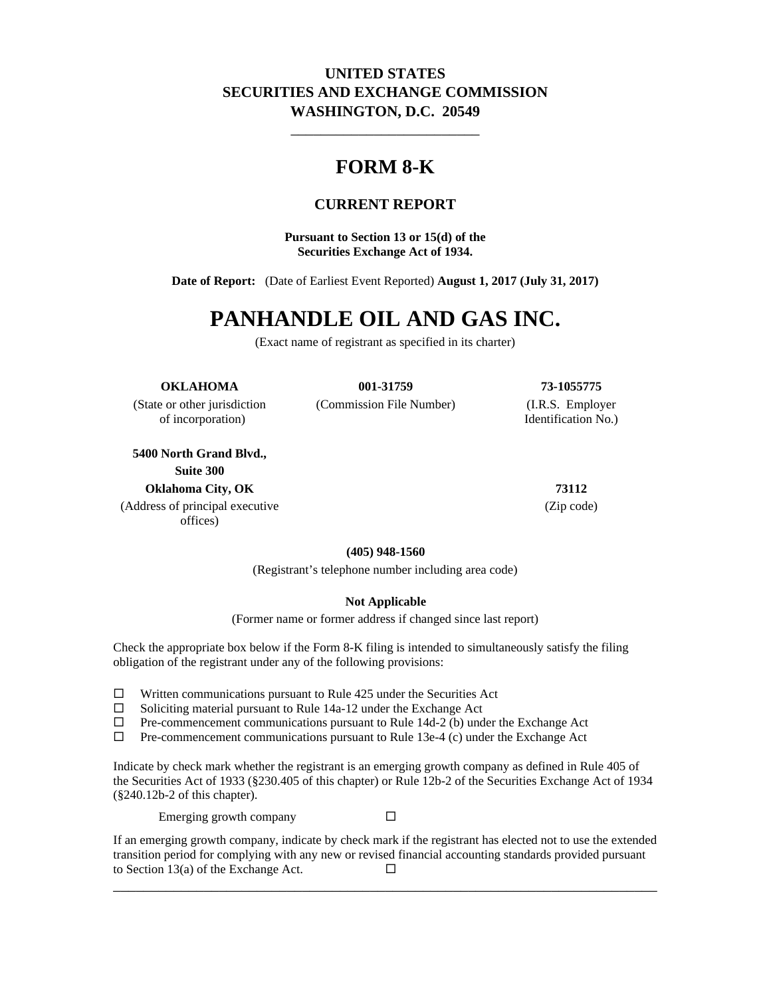## **UNITED STATES SECURITIES AND EXCHANGE COMMISSION WASHINGTON, D.C. 20549**

\_\_\_\_\_\_\_\_\_\_\_\_\_\_\_\_\_\_\_\_\_\_\_\_\_

# **FORM 8-K**

## **CURRENT REPORT**

**Pursuant to Section 13 or 15(d) of the Securities Exchange Act of 1934.**

**Date of Report:** (Date of Earliest Event Reported) **August 1, 2017 (July 31, 2017)**

# **PANHANDLE OIL AND GAS INC.**

(Exact name of registrant as specified in its charter)

#### **OKLAHOMA 001-31759 73-1055775**

(State or other jurisdiction (Commission File Number) (I.R.S. Employer

of incorporation) Identification No.)

**5400 North Grand Blvd., Suite 300 Oklahoma City, OK 73112**

(Address of principal executive offices)

(Zip code)

**(405) 948-1560**

(Registrant's telephone number including area code)

#### **Not Applicable**

(Former name or former address if changed since last report)

Check the appropriate box below if the Form 8-K filing is intended to simultaneously satisfy the filing obligation of the registrant under any of the following provisions:

- $\Box$  Written communications pursuant to Rule 425 under the Securities Act
- $\Box$  Soliciting material pursuant to Rule 14a-12 under the Exchange Act
- $\Box$  Pre-commencement communications pursuant to Rule 14d-2 (b) under the Exchange Act
- $\Box$  Pre-commencement communications pursuant to Rule 13e-4 (c) under the Exchange Act

Indicate by check mark whether the registrant is an emerging growth company as defined in Rule 405 of the Securities Act of 1933 (§230.405 of this chapter) or Rule 12b-2 of the Securities Exchange Act of 1934 (§240.12b-2 of this chapter).

Emerging growth company  $\square$ 

If an emerging growth company, indicate by check mark if the registrant has elected not to use the extended transition period for complying with any new or revised financial accounting standards provided pursuant to Section 13(a) of the Exchange Act.  $\square$ 

\_\_\_\_\_\_\_\_\_\_\_\_\_\_\_\_\_\_\_\_\_\_\_\_\_\_\_\_\_\_\_\_\_\_\_\_\_\_\_\_\_\_\_\_\_\_\_\_\_\_\_\_\_\_\_\_\_\_\_\_\_\_\_\_\_\_\_\_\_\_\_\_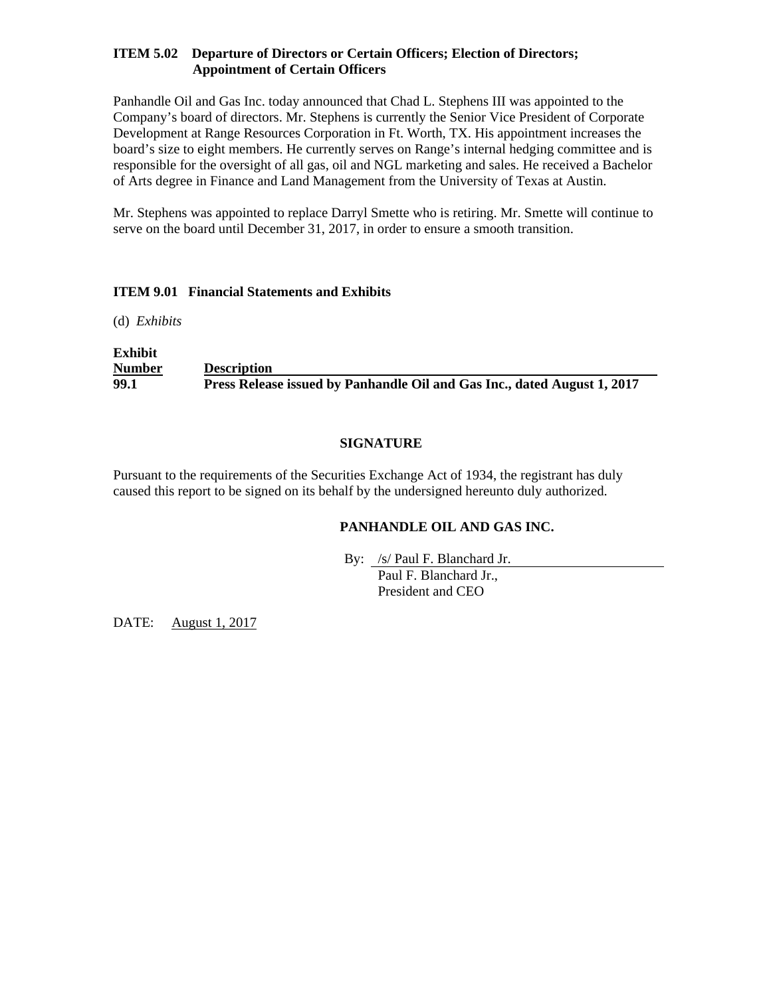### **ITEM 5.02 Departure of Directors or Certain Officers; Election of Directors; Appointment of Certain Officers**

Panhandle Oil and Gas Inc. today announced that Chad L. Stephens III was appointed to the Company's board of directors. Mr. Stephens is currently the Senior Vice President of Corporate Development at Range Resources Corporation in Ft. Worth, TX. His appointment increases the board's size to eight members. He currently serves on Range's internal hedging committee and is responsible for the oversight of all gas, oil and NGL marketing and sales. He received a Bachelor of Arts degree in Finance and Land Management from the University of Texas at Austin.

Mr. Stephens was appointed to replace Darryl Smette who is retiring. Mr. Smette will continue to serve on the board until December 31, 2017, in order to ensure a smooth transition.

#### **ITEM 9.01 Financial Statements and Exhibits**

(d) *Exhibits*

i.

**Exhibit Number Description 99.1 Press Release issued by Panhandle Oil and Gas Inc., dated August 1, 2017**

### **SIGNATURE**

Pursuant to the requirements of the Securities Exchange Act of 1934, the registrant has duly caused this report to be signed on its behalf by the undersigned hereunto duly authorized.

## **PANHANDLE OIL AND GAS INC.**

By: /s/ Paul F. Blanchard Jr.

Paul F. Blanchard Jr., President and CEO

DATE: August 1, 2017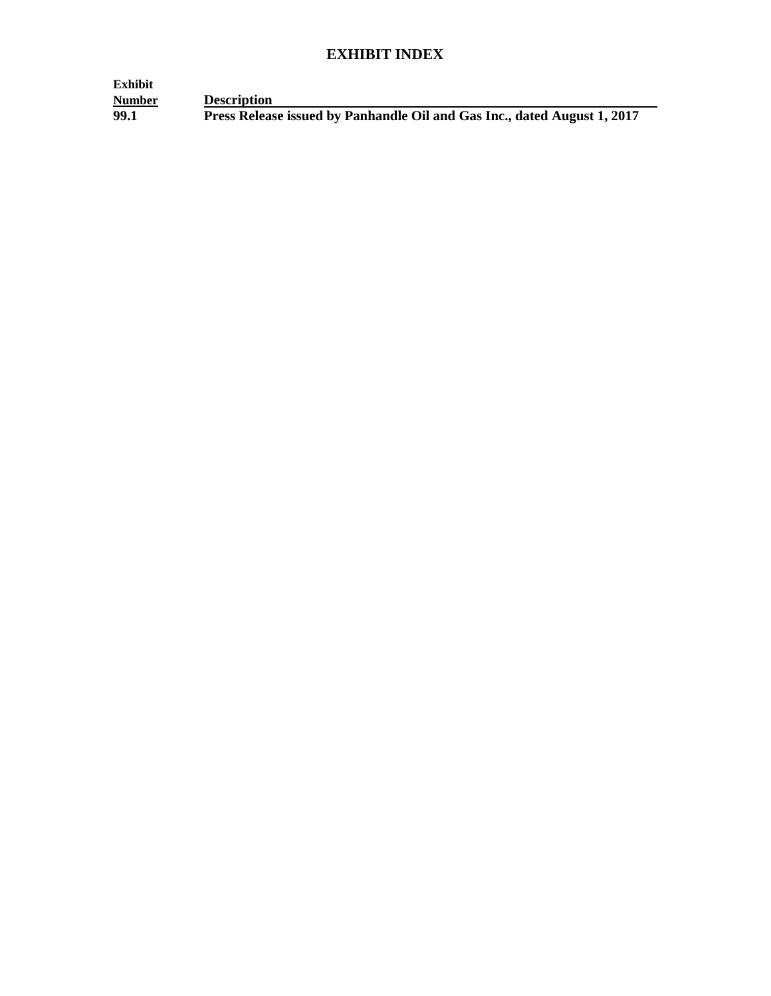# **EXHIBIT INDEX**

| Exhibit |                                                                          |
|---------|--------------------------------------------------------------------------|
| Number  | <b>Description</b>                                                       |
| 99.1    | Press Release issued by Panhandle Oil and Gas Inc., dated August 1, 2017 |